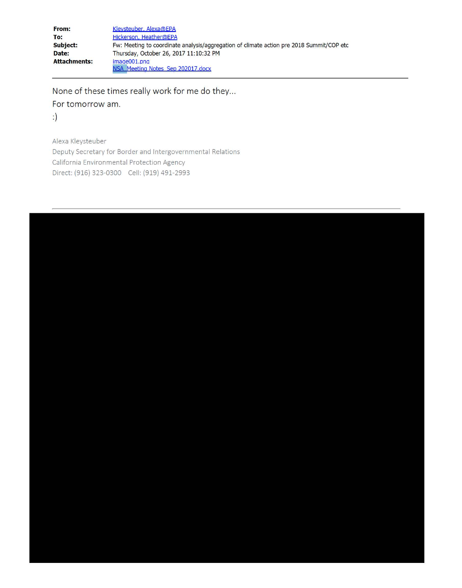| From:               | Kleysteuber, Alexa@EPA                                                                   |
|---------------------|------------------------------------------------------------------------------------------|
| To:                 | Hickerson, Heather@EPA                                                                   |
| <b>Subject:</b>     | Fw: Meeting to coordinate analysis/aggregation of climate action pre 2018 Summit/COP etc |
| Date:               | Thursday, October 26, 2017 11:10:32 PM                                                   |
| <b>Attachments:</b> | image001.png                                                                             |
|                     | NSA Meeting Notes Sep 202017.docx                                                        |

None of these times really work for me do they...

For tomorrow am.

 $\cdot)$ 

Alexa Kleysteuber Deputy Secretary for Border and Intergovernmental Relations California Environmental Protection Agency Direct: (916) 323-0300 Cell: (919) 491-2993

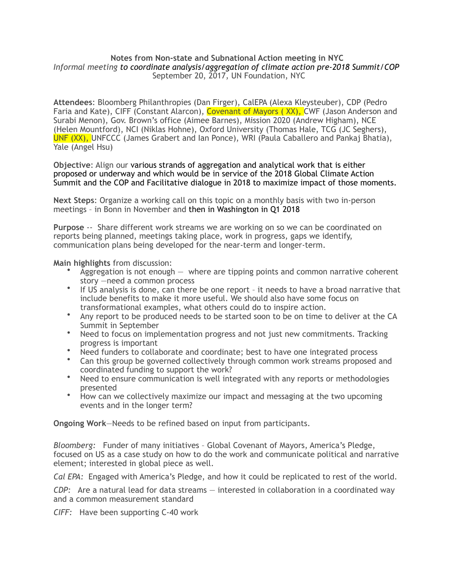## **Notes from Non-state and Subnational Action meeting in NYC**  *Informal meeting to coordinate analysis/aggregation of climate action pre-2018 Summit/COP*  September 20, 2017, UN Foundation, NYC

**Attendees**: Bloomberg Philanthropies (Dan Firger), CalEPA (Alexa Kleysteuber), CDP (Pedro Faria and Kate), CIFF (Constant Alarcon), Covenant of Mayors ( XX), CWF (Jason Anderson and Surabi Menon), Gov. Brown's office (Aimee Barnes), Mission 2020 (Andrew Higham), NCE (Helen Mountford), NCI (Niklas Hohne), Oxford University (Thomas Hale, TCG (JC Seghers), UNF (XX), UNFCCC (James Grabert and Ian Ponce), WRI (Paula Caballero and Pankaj Bhatia), Yale (Angel Hsu)

**Objective**: Align our various strands of aggregation and analytical work that is either proposed or underway and which would be in service of the 2018 Global Climate Action Summit and the COP and Facilitative dialogue in 2018 to maximize impact of those moments.

**Next Steps**: Organize a working call on this topic on a monthly basis with two in-person meetings – in Bonn in November and then in Washington in Q1 2018

**Purpose** -- Share different work streams we are working on so we can be coordinated on reports being planned, meetings taking place, work in progress, gaps we identify, communication plans being developed for the near-term and longer-term.

**Main highlights** from discussion:

- Aggregation is not enough where are tipping points and common narrative coherent story —need a common process
- If US analysis is done, can there be one report it needs to have a broad narrative that include benefits to make it more useful. We should also have some focus on transformational examples, what others could do to inspire action.
- Any report to be produced needs to be started soon to be on time to deliver at the CA Summit in September
- Need to focus on implementation progress and not just new commitments. Tracking progress is important
- Need funders to collaborate and coordinate; best to have one integrated process
- Can this group be governed collectively through common work streams proposed and coordinated funding to support the work?
- Need to ensure communication is well integrated with any reports or methodologies presented
- How can we collectively maximize our impact and messaging at the two upcoming events and in the longer term?

**Ongoing Work**—Needs to be refined based on input from participants.

*Bloomberg:* Funder of many initiatives – Global Covenant of Mayors, America's Pledge, focused on US as a case study on how to do the work and communicate political and narrative element; interested in global piece as well.

*Cal EPA:* Engaged with America's Pledge, and how it could be replicated to rest of the world.

*CDP:* Are a natural lead for data streams — interested in collaboration in a coordinated way and a common measurement standard

*CIFF:* Have been supporting C-40 work